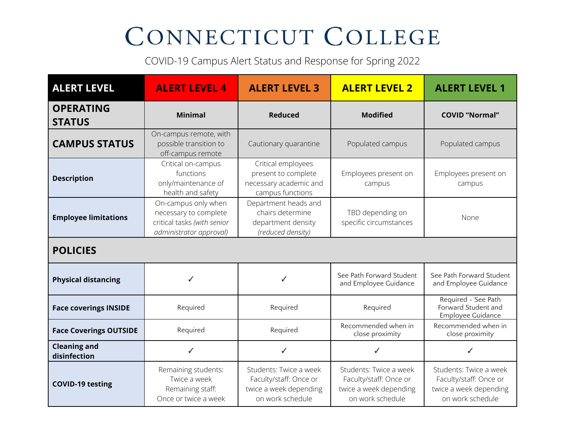## CONNECTICUT COLLEGE

COVID-19 Campus Alert Status and Response for Spring 2022

| <b>ALERT LEVEL</b>                  | <b>ALERT LEVEL 4</b>                                                                                   | <b>ALERT LEVEL 3</b>                                                                           | <b>ALERT LEVEL 2</b>                                                                           | <b>ALERT LEVEL 1</b>                                                                           |
|-------------------------------------|--------------------------------------------------------------------------------------------------------|------------------------------------------------------------------------------------------------|------------------------------------------------------------------------------------------------|------------------------------------------------------------------------------------------------|
| <b>OPERATING</b><br><b>STATUS</b>   | <b>Minimal</b>                                                                                         | <b>Reduced</b>                                                                                 | <b>Modified</b>                                                                                | <b>COVID</b> "Normal"                                                                          |
| <b>CAMPUS STATUS</b>                | On-campus remote, with<br>possible transition to<br>off-campus remote                                  | Cautionary quarantine                                                                          | Populated campus                                                                               | Populated campus                                                                               |
| <b>Description</b>                  | Critical on-campus<br>functions<br>only/maintenance of<br>health and safety                            | Critical employees<br>present to complete<br>necessary academic and<br>campus functions        | Employees present on<br>campus                                                                 | Employees present on<br>campus                                                                 |
| <b>Employee limitations</b>         | On-campus only when<br>necessary to complete<br>critical tasks (with senior<br>administrator approval) | Department heads and<br>chairs determine<br>department density<br>(reduced density)            | TBD depending on<br>specific circumstances                                                     | None                                                                                           |
| <b>POLICIES</b>                     |                                                                                                        |                                                                                                |                                                                                                |                                                                                                |
| <b>Physical distancing</b>          | ✓                                                                                                      | ✓                                                                                              | See Path Forward Student<br>and Employee Guidance                                              | See Path Forward Student<br>and Employee Guidance                                              |
| <b>Face coverings INSIDE</b>        | Required                                                                                               | Required                                                                                       | Required                                                                                       | Required - See Path<br>Forward Student and<br><b>Employee Guidance</b>                         |
| <b>Face Coverings OUTSIDE</b>       | Required                                                                                               | Required                                                                                       | Recommended when in<br>close proximity                                                         | Recommended when in<br>close proximity                                                         |
| <b>Cleaning and</b><br>disinfection | ✓                                                                                                      | ✓                                                                                              | ✓                                                                                              | ✓                                                                                              |
| <b>COVID-19 testing</b>             | Remaining students:<br>Twice a week<br>Remaining staff:<br>Once or twice a week                        | Students: Twice a week<br>Faculty/staff: Once or<br>twice a week depending<br>on work schedule | Students: Twice a week<br>Faculty/staff: Once or<br>twice a week depending<br>on work schedule | Students: Twice a week<br>Faculty/staff: Once or<br>twice a week depending<br>on work schedule |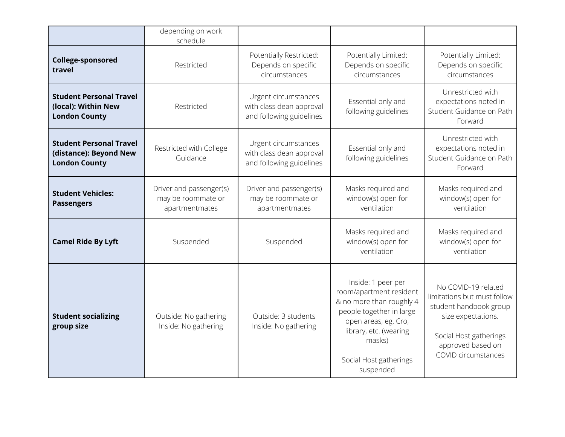|                                                                                  | depending on work<br>schedule                                   |                                                                              |                                                                                                                                                                                                          |                                                                                                                                                                          |
|----------------------------------------------------------------------------------|-----------------------------------------------------------------|------------------------------------------------------------------------------|----------------------------------------------------------------------------------------------------------------------------------------------------------------------------------------------------------|--------------------------------------------------------------------------------------------------------------------------------------------------------------------------|
| <b>College-sponsored</b><br>travel                                               | Restricted                                                      | Potentially Restricted:<br>Depends on specific<br>circumstances              | Potentially Limited:<br>Depends on specific<br>circumstances                                                                                                                                             | Potentially Limited:<br>Depends on specific<br>circumstances                                                                                                             |
| <b>Student Personal Travel</b><br>(local): Within New<br><b>London County</b>    | Restricted                                                      | Urgent circumstances<br>with class dean approval<br>and following guidelines | Essential only and<br>following guidelines                                                                                                                                                               | Unrestricted with<br>expectations noted in<br>Student Guidance on Path<br>Forward                                                                                        |
| <b>Student Personal Travel</b><br>(distance): Beyond New<br><b>London County</b> | Restricted with College<br>Guidance                             | Urgent circumstances<br>with class dean approval<br>and following guidelines | Essential only and<br>following guidelines                                                                                                                                                               | Unrestricted with<br>expectations noted in<br>Student Guidance on Path<br>Forward                                                                                        |
| <b>Student Vehicles:</b><br><b>Passengers</b>                                    | Driver and passenger(s)<br>may be roommate or<br>apartmentmates | Driver and passenger(s)<br>may be roommate or<br>apartmentmates              | Masks required and<br>window(s) open for<br>ventilation                                                                                                                                                  | Masks required and<br>window(s) open for<br>ventilation                                                                                                                  |
| <b>Camel Ride By Lyft</b>                                                        | Suspended                                                       | Suspended                                                                    | Masks required and<br>window(s) open for<br>ventilation                                                                                                                                                  | Masks required and<br>window(s) open for<br>ventilation                                                                                                                  |
| <b>Student socializing</b><br>group size                                         | Outside: No gathering<br>Inside: No gathering                   | Outside: 3 students<br>Inside: No gathering                                  | Inside: 1 peer per<br>room/apartment resident<br>& no more than roughly 4<br>people together in large<br>open areas, eg. Cro,<br>library, etc. (wearing<br>masks)<br>Social Host gatherings<br>suspended | No COVID-19 related<br>limitations but must follow<br>student handbook group<br>size expectations.<br>Social Host gatherings<br>approved based on<br>COVID circumstances |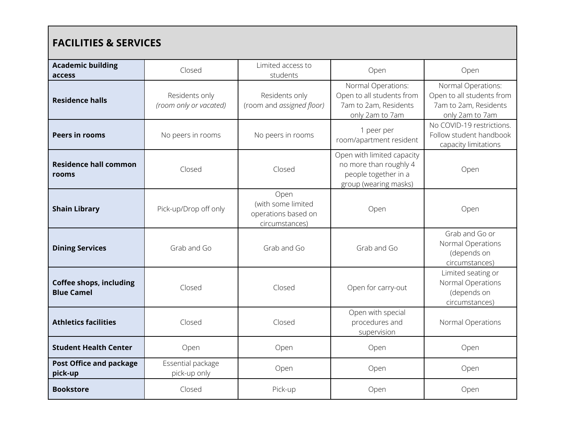| <b>FACILITIES &amp; SERVICES</b>                    |                                          |                                                                     |                                                                                                       |                                                                                             |
|-----------------------------------------------------|------------------------------------------|---------------------------------------------------------------------|-------------------------------------------------------------------------------------------------------|---------------------------------------------------------------------------------------------|
| <b>Academic building</b><br>access                  | Closed                                   | Limited access to<br>students                                       | Open                                                                                                  | Open                                                                                        |
| <b>Residence halls</b>                              | Residents only<br>(room only or vacated) | Residents only<br>(room and assigned floor)                         | Normal Operations:<br>Open to all students from<br>7am to 2am, Residents<br>only 2am to 7am           | Normal Operations:<br>Open to all students from<br>7am to 2am, Residents<br>only 2am to 7am |
| <b>Peers in rooms</b>                               | No peers in rooms                        | No peers in rooms                                                   | 1 peer per<br>room/apartment resident                                                                 | No COVID-19 restrictions.<br>Follow student handbook<br>capacity limitations                |
| <b>Residence hall common</b><br>rooms               | Closed                                   | Closed                                                              | Open with limited capacity<br>no more than roughly 4<br>people together in a<br>group (wearing masks) | Open                                                                                        |
| <b>Shain Library</b>                                | Pick-up/Drop off only                    | Open<br>(with some limited<br>operations based on<br>circumstances) | Open                                                                                                  | Open                                                                                        |
| <b>Dining Services</b>                              | Grab and Go                              | Grab and Go                                                         | Grab and Go                                                                                           | Grab and Go or<br>Normal Operations<br>(depends on<br>circumstances)                        |
| <b>Coffee shops, including</b><br><b>Blue Camel</b> | Closed                                   | Closed                                                              | Open for carry-out                                                                                    | Limited seating or<br>Normal Operations<br>(depends on<br>circumstances)                    |
| <b>Athletics facilities</b>                         | Closed                                   | Closed                                                              | Open with special<br>procedures and<br>supervision                                                    | Normal Operations                                                                           |
| <b>Student Health Center</b>                        | Open                                     | Open                                                                | Open                                                                                                  | Open                                                                                        |
| <b>Post Office and package</b><br>pick-up           | Essential package<br>pick-up only        | Open                                                                | Open                                                                                                  | Open                                                                                        |
| <b>Bookstore</b>                                    | Closed                                   | Pick-up                                                             | Open                                                                                                  | Open                                                                                        |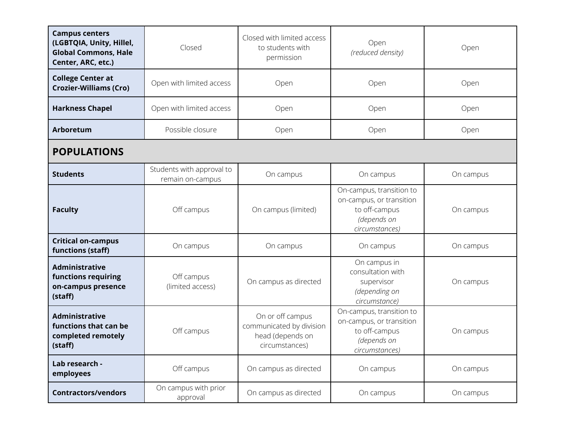| <b>Campus centers</b><br>(LGBTQIA, Unity, Hillel,<br><b>Global Commons, Hale</b><br>Center, ARC, etc.) | Closed                                        | Closed with limited access<br>to students with<br>permission                       | Open<br>(reduced density)                                                                              | Open      |
|--------------------------------------------------------------------------------------------------------|-----------------------------------------------|------------------------------------------------------------------------------------|--------------------------------------------------------------------------------------------------------|-----------|
| <b>College Center at</b><br><b>Crozier-Williams (Cro)</b>                                              | Open with limited access                      | Open                                                                               | Open                                                                                                   | Open      |
| <b>Harkness Chapel</b>                                                                                 | Open with limited access                      | Open                                                                               | Open                                                                                                   | Open      |
| Arboretum                                                                                              | Possible closure                              | Open                                                                               | Open                                                                                                   | Open      |
| <b>POPULATIONS</b>                                                                                     |                                               |                                                                                    |                                                                                                        |           |
| <b>Students</b>                                                                                        | Students with approval to<br>remain on-campus | On campus                                                                          | On campus                                                                                              | On campus |
| <b>Faculty</b>                                                                                         | Off campus                                    | On campus (limited)                                                                | On-campus, transition to<br>on-campus, or transition<br>to off-campus<br>(depends on<br>circumstances) | On campus |
| <b>Critical on-campus</b><br>functions (staff)                                                         | On campus                                     | On campus                                                                          | On campus                                                                                              | On campus |
| <b>Administrative</b><br>functions requiring<br>on-campus presence<br>(staff)                          | Off campus<br>(limited access)                | On campus as directed                                                              | On campus in<br>consultation with<br>supervisor<br>(depending on<br>circumstance)                      | On campus |
| <b>Administrative</b><br>functions that can be<br>completed remotely<br>(staff)                        | Off campus                                    | On or off campus<br>communicated by division<br>head (depends on<br>circumstances) | On-campus, transition to<br>on-campus, or transition<br>to off-campus<br>(depends on<br>circumstances) | On campus |
| Lab research -<br>employees                                                                            | Off campus                                    | On campus as directed                                                              | On campus                                                                                              | On campus |
| <b>Contractors/vendors</b>                                                                             | On campus with prior<br>approval              | On campus as directed                                                              | On campus                                                                                              | On campus |